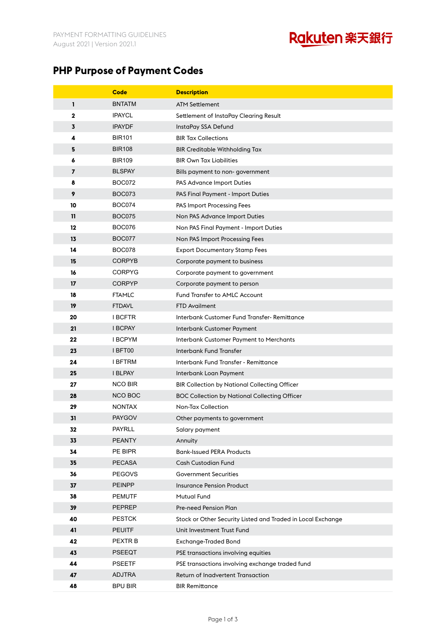## **PHP Purpose of Payment Codes**

|             | <b>Code</b>    | <b>Description</b>                                          |
|-------------|----------------|-------------------------------------------------------------|
| 1           | <b>BNTATM</b>  | <b>ATM Settlement</b>                                       |
| $\mathbf 2$ | <b>IPAYCL</b>  | Settlement of InstaPay Clearing Result                      |
| 3           | <b>IPAYDF</b>  | InstaPay SSA Defund                                         |
| 4           | <b>BIR101</b>  | <b>BIR Tax Collections</b>                                  |
| 5           | <b>BIR108</b>  | <b>BIR Creditable Withholding Tax</b>                       |
| 6           | <b>BIR109</b>  | <b>BIR Own Tax Liabilities</b>                              |
| 7           | <b>BLSPAY</b>  | Bills payment to non-government                             |
| 8           | <b>BOC072</b>  | <b>PAS Advance Import Duties</b>                            |
| 9           | <b>BOC073</b>  | PAS Final Payment - Import Duties                           |
| 10          | <b>BOC074</b>  | PAS Import Processing Fees                                  |
| 11          | <b>BOC075</b>  | Non PAS Advance Import Duties                               |
| $12 \,$     | <b>BOC076</b>  | Non PAS Final Payment - Import Duties                       |
| 13          | <b>BOC077</b>  | Non PAS Import Processing Fees                              |
| 14          | <b>BOC078</b>  | <b>Export Documentary Stamp Fees</b>                        |
| 15          | <b>CORPYB</b>  | Corporate payment to business                               |
| 16          | <b>CORPYG</b>  | Corporate payment to government                             |
| 17          | <b>CORPYP</b>  | Corporate payment to person                                 |
| 18          | <b>FTAMLC</b>  | <b>Fund Transfer to AMLC Account</b>                        |
| 19          | <b>FTDAVL</b>  | <b>FTD Availment</b>                                        |
| 20          | <b>IBCFTR</b>  | Interbank Customer Fund Transfer- Remittance                |
| 21          | I BCPAY        | Interbank Customer Payment                                  |
| 22          | I BCPYM        | Interbank Customer Payment to Merchants                     |
| 23          | I BFT00        | Interbank Fund Transfer                                     |
| 24          | <b>I BFTRM</b> | Interbank Fund Transfer - Remittance                        |
| 25          | I BLPAY        | Interbank Loan Payment                                      |
| 27          | <b>NCO BIR</b> | <b>BIR Collection by National Collecting Officer</b>        |
| 28          | <b>NCO BOC</b> | <b>BOC Collection by National Collecting Officer</b>        |
| 29          | <b>NONTAX</b>  | Non-Tax Collection                                          |
| 31          | <b>PAYGOV</b>  | Other payments to government                                |
| 32          | <b>PAYRLL</b>  | Salary payment                                              |
| 33          | <b>PEANTY</b>  | Annuity                                                     |
| 34          | PE BIPR        | <b>Bank-Issued PERA Products</b>                            |
| 35          | <b>PECASA</b>  | <b>Cash Custodian Fund</b>                                  |
| 36          | <b>PEGOVS</b>  | <b>Government Securities</b>                                |
| 37          | <b>PEINPP</b>  | <b>Insurance Pension Product</b>                            |
| 38          | <b>PEMUTF</b>  | <b>Mutual Fund</b>                                          |
| 39          | <b>PEPREP</b>  | Pre-need Pension Plan                                       |
| 40          | <b>PESTCK</b>  | Stock or Other Security Listed and Traded in Local Exchange |
| 41          | <b>PEUITF</b>  | Unit Investment Trust Fund                                  |
| 42          | PEXTR B        | <b>Exchange-Traded Bond</b>                                 |
| 43          | <b>PSEEQT</b>  | PSE transactions involving equities                         |
| 44          | <b>PSEETF</b>  | PSE transactions involving exchange traded fund             |
| 47          | <b>ADJTRA</b>  | Return of Inadvertent Transaction                           |
| 48          | <b>BPU BIR</b> | <b>BIR Remittance</b>                                       |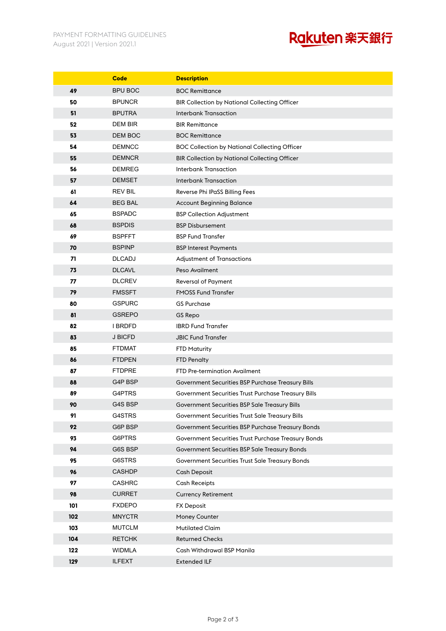## Rokuten 楽天銀行

|     | Code           | <b>Description</b>                                   |
|-----|----------------|------------------------------------------------------|
| 49  | <b>BPU BOC</b> | <b>BOC Remittance</b>                                |
| 50  | <b>BPUNCR</b>  | <b>BIR Collection by National Collecting Officer</b> |
| 51  | <b>BPUTRA</b>  | Interbank Transaction                                |
| 52  | <b>DEM BIR</b> | <b>BIR Remittance</b>                                |
| 53  | <b>DEM BOC</b> | <b>BOC Remittance</b>                                |
| 54  | <b>DEMNCC</b>  | <b>BOC Collection by National Collecting Officer</b> |
| 55  | <b>DEMNCR</b>  | <b>BIR Collection by National Collecting Officer</b> |
| 56  | <b>DEMREG</b>  | Interbank Transaction                                |
| 57  | <b>DEMSET</b>  | <b>Interbank Transaction</b>                         |
| 61  | <b>REV BIL</b> | Reverse Phi IPaSS Billing Fees                       |
| 64  | <b>BEG BAL</b> | <b>Account Beginning Balance</b>                     |
| 65  | <b>BSPADC</b>  | <b>BSP Collection Adjustment</b>                     |
| 68  | <b>BSPDIS</b>  | <b>BSP Disbursement</b>                              |
| 69  | <b>BSPFFT</b>  | <b>BSP Fund Transfer</b>                             |
| 70  | <b>BSPINP</b>  | <b>BSP Interest Payments</b>                         |
| 71  | <b>DLCADJ</b>  | <b>Adjustment of Transactions</b>                    |
| 73  | <b>DLCAVL</b>  | Peso Availment                                       |
| 77  | <b>DLCREV</b>  | Reversal of Payment                                  |
| 79  | <b>FMSSFT</b>  | <b>FMOSS Fund Transfer</b>                           |
| 80  | <b>GSPURC</b>  | <b>GS Purchase</b>                                   |
| 81  | <b>GSREPO</b>  | GS Repo                                              |
| 82  | I BRDFD        | <b>IBRD Fund Transfer</b>                            |
| 83  | <b>J BICFD</b> | <b>JBIC Fund Transfer</b>                            |
| 85  | <b>FTDMAT</b>  | FTD Maturity                                         |
| 86  | <b>FTDPEN</b>  | <b>FTD Penalty</b>                                   |
| 87  | <b>FTDPRE</b>  | <b>FTD Pre-termination Availment</b>                 |
| 88  | G4P BSP        | Government Securities BSP Purchase Treasury Bills    |
| 89  | G4PTRS         | Government Securities Trust Purchase Treasury Bills  |
| 90  | G4S BSP        | Government Securities BSP Sale Treasury Bills        |
| 91  | G4STRS         | Government Securities Trust Sale Treasury Bills      |
| 92  | G6P BSP        | Government Securities BSP Purchase Treasury Bonds    |
| 93  | G6PTRS         | Government Securities Trust Purchase Treasury Bonds  |
| 94  | G6S BSP        | Government Securities BSP Sale Treasury Bonds        |
| 95  | G6STRS         | Government Securities Trust Sale Treasury Bonds      |
| 96  | <b>CASHDP</b>  | Cash Deposit                                         |
| 97  | <b>CASHRC</b>  | <b>Cash Receipts</b>                                 |
| 98  | <b>CURRET</b>  | <b>Currency Retirement</b>                           |
| 101 | <b>FXDEPO</b>  | <b>FX Deposit</b>                                    |
| 102 | <b>MNYCTR</b>  | Money Counter                                        |
| 103 | <b>MUTCLM</b>  | <b>Mutilated Claim</b>                               |
| 104 | <b>RETCHK</b>  | <b>Returned Checks</b>                               |
| 122 | WIDMLA         | Cash Withdrawal BSP Manila                           |
| 129 | <b>ILFEXT</b>  | <b>Extended ILF</b>                                  |